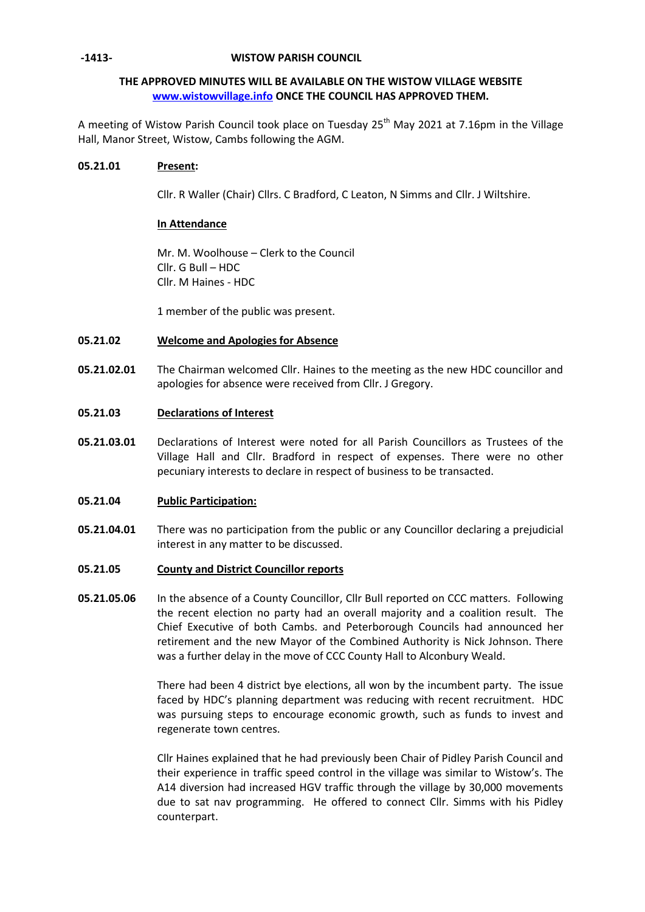### **-1413- WISTOW PARISH COUNCIL**

## **THE APPROVED MINUTES WILL BE AVAILABLE ON THE WISTOW VILLAGE WEBSITE [www.wistowvillage.info](http://www.wistowvillage.info/) ONCE THE COUNCIL HAS APPROVED THEM.**

A meeting of Wistow Parish Council took place on Tuesday 25<sup>th</sup> May 2021 at 7.16pm in the Village Hall, Manor Street, Wistow, Cambs following the AGM.

### **05.21.01 Present:**

Cllr. R Waller (Chair) Cllrs. C Bradford, C Leaton, N Simms and Cllr. J Wiltshire.

### **In Attendance**

Mr. M. Woolhouse – Clerk to the Council Cllr. G Bull – HDC Cllr. M Haines - HDC

1 member of the public was present.

#### **05.21.02 Welcome and Apologies for Absence**

**05.21.02.01** The Chairman welcomed Cllr. Haines to the meeting as the new HDC councillor and apologies for absence were received from Cllr. J Gregory.

#### **05.21.03 Declarations of Interest**

**05.21.03.01** Declarations of Interest were noted for all Parish Councillors as Trustees of the Village Hall and Cllr. Bradford in respect of expenses. There were no other pecuniary interests to declare in respect of business to be transacted.

#### **05.21.04 Public Participation:**

- **05.21.04.01** There was no participation from the public or any Councillor declaring a prejudicial interest in any matter to be discussed.
- **05.21.05 County and District Councillor reports**
- **05.21.05.06** In the absence of a County Councillor, Cllr Bull reported on CCC matters. Following the recent election no party had an overall majority and a coalition result. The Chief Executive of both Cambs. and Peterborough Councils had announced her retirement and the new Mayor of the Combined Authority is Nick Johnson. There was a further delay in the move of CCC County Hall to Alconbury Weald.

There had been 4 district bye elections, all won by the incumbent party. The issue faced by HDC's planning department was reducing with recent recruitment. HDC was pursuing steps to encourage economic growth, such as funds to invest and regenerate town centres.

Cllr Haines explained that he had previously been Chair of Pidley Parish Council and their experience in traffic speed control in the village was similar to Wistow's. The A14 diversion had increased HGV traffic through the village by 30,000 movements due to sat nav programming. He offered to connect Cllr. Simms with his Pidley counterpart.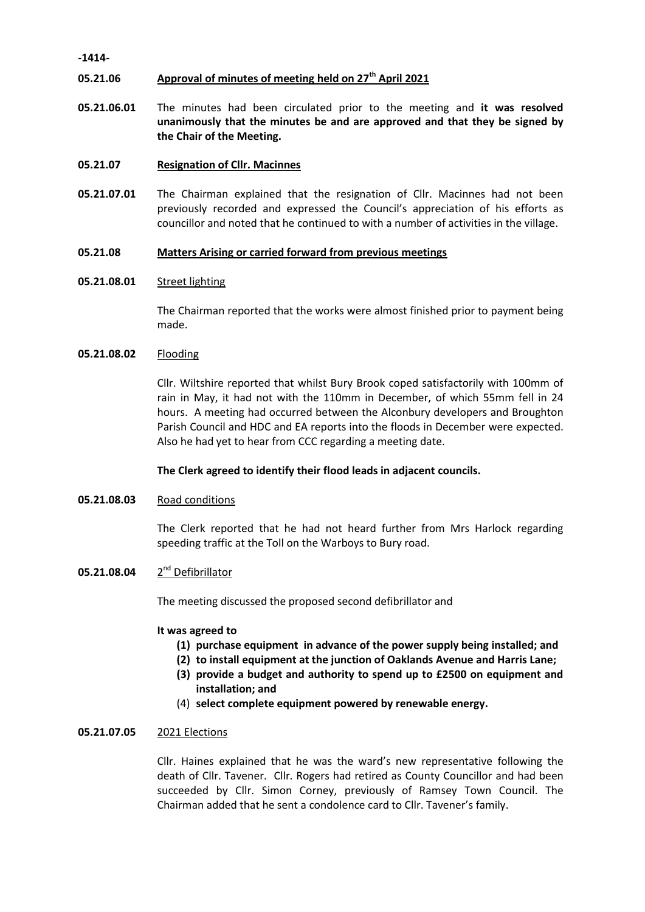### **-1414-**

#### **05.21.06 Approval of minutes of meeting held on 27th April 2021**

**05.21.06.01** The minutes had been circulated prior to the meeting and **it was resolved unanimously that the minutes be and are approved and that they be signed by the Chair of the Meeting.**

#### **05.21.07 Resignation of Cllr. Macinnes**

**05.21.07.01** The Chairman explained that the resignation of Cllr. Macinnes had not been previously recorded and expressed the Council's appreciation of his efforts as councillor and noted that he continued to with a number of activities in the village.

#### **05.21.08 Matters Arising or carried forward from previous meetings**

#### **05.21.08.01** Street lighting

The Chairman reported that the works were almost finished prior to payment being made.

#### **05.21.08.02** Flooding

Cllr. Wiltshire reported that whilst Bury Brook coped satisfactorily with 100mm of rain in May, it had not with the 110mm in December, of which 55mm fell in 24 hours. A meeting had occurred between the Alconbury developers and Broughton Parish Council and HDC and EA reports into the floods in December were expected. Also he had yet to hear from CCC regarding a meeting date.

### **The Clerk agreed to identify their flood leads in adjacent councils.**

#### **05.21.08.03** Road conditions

The Clerk reported that he had not heard further from Mrs Harlock regarding speeding traffic at the Toll on the Warboys to Bury road.

#### **05.21.08.04** 2 2<sup>nd</sup> Defibrillator

The meeting discussed the proposed second defibrillator and

### **It was agreed to**

- **(1) purchase equipment in advance of the power supply being installed; and**
- **(2) to install equipment at the junction of Oaklands Avenue and Harris Lane;**
- **(3) provide a budget and authority to spend up to £2500 on equipment and installation; and**
- (4) **select complete equipment powered by renewable energy.**

### **05.21.07.05** 2021 Elections

Cllr. Haines explained that he was the ward's new representative following the death of Cllr. Tavener. Cllr. Rogers had retired as County Councillor and had been succeeded by Cllr. Simon Corney, previously of Ramsey Town Council. The Chairman added that he sent a condolence card to Cllr. Tavener's family.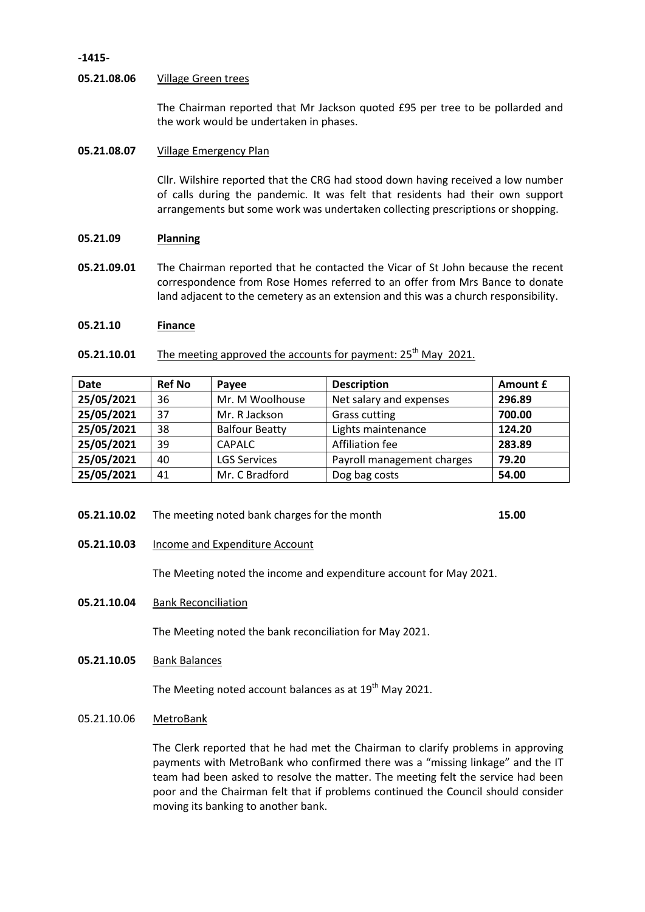### **-1415-**

### **05.21.08.06** Village Green trees

The Chairman reported that Mr Jackson quoted £95 per tree to be pollarded and the work would be undertaken in phases.

### **05.21.08.07** Village Emergency Plan

Cllr. Wilshire reported that the CRG had stood down having received a low number of calls during the pandemic. It was felt that residents had their own support arrangements but some work was undertaken collecting prescriptions or shopping.

#### **05.21.09 Planning**

**05.21.09.01** The Chairman reported that he contacted the Vicar of St John because the recent correspondence from Rose Homes referred to an offer from Mrs Bance to donate land adjacent to the cemetery as an extension and this was a church responsibility.

### **05.21.10 Finance**

**05.21.10.01** The meeting approved the accounts for payment: 25<sup>th</sup> May 2021.

| <b>Date</b> | <b>Ref No</b> | Pavee                 | <b>Description</b>         | Amount £ |
|-------------|---------------|-----------------------|----------------------------|----------|
| 25/05/2021  | 36            | Mr. M Woolhouse       | Net salary and expenses    | 296.89   |
| 25/05/2021  | 37            | Mr. R Jackson         | <b>Grass cutting</b>       | 700.00   |
| 25/05/2021  | 38            | <b>Balfour Beatty</b> | Lights maintenance         | 124.20   |
| 25/05/2021  | 39            | <b>CAPALC</b>         | Affiliation fee            | 283.89   |
| 25/05/2021  | 40            | <b>LGS Services</b>   | Payroll management charges | 79.20    |
| 25/05/2021  | 41            | Mr. C Bradford        | Dog bag costs              | 54.00    |

- **05.21.10.02** The meeting noted bank charges for the month **15.00**
- **05.21.10.03** Income and Expenditure Account

The Meeting noted the income and expenditure account for May 2021.

**05.21.10.04** Bank Reconciliation

The Meeting noted the bank reconciliation for May 2021.

**05.21.10.05** Bank Balances

The Meeting noted account balances as at 19<sup>th</sup> May 2021.

05.21.10.06 MetroBank

The Clerk reported that he had met the Chairman to clarify problems in approving payments with MetroBank who confirmed there was a "missing linkage" and the IT team had been asked to resolve the matter. The meeting felt the service had been poor and the Chairman felt that if problems continued the Council should consider moving its banking to another bank.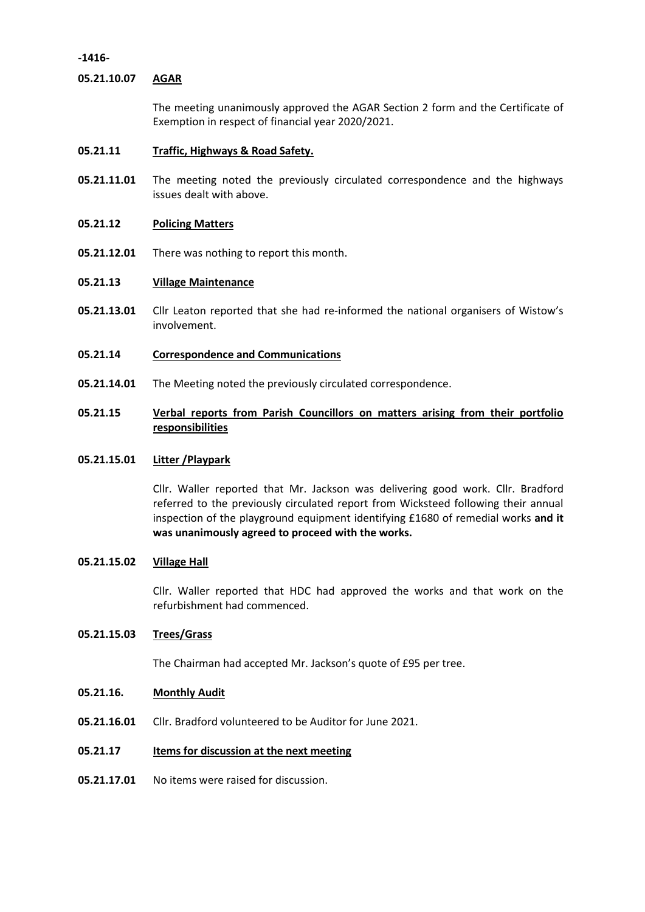**-1416-**

### **05.21.10.07 AGAR**

The meeting unanimously approved the AGAR Section 2 form and the Certificate of Exemption in respect of financial year 2020/2021.

#### **05.21.11 Traffic, Highways & Road Safety.**

**05.21.11.01** The meeting noted the previously circulated correspondence and the highways issues dealt with above.

#### **05.21.12 Policing Matters**

**05.21.12.01** There was nothing to report this month.

#### **05.21.13 Village Maintenance**

- **05.21.13.01** Cllr Leaton reported that she had re-informed the national organisers of Wistow's involvement.
- **05.21.14 Correspondence and Communications**
- **05.21.14.01** The Meeting noted the previously circulated correspondence.

## **05.21.15 Verbal reports from Parish Councillors on matters arising from their portfolio responsibilities**

### **05.21.15.01 Litter /Playpark**

Cllr. Waller reported that Mr. Jackson was delivering good work. Cllr. Bradford referred to the previously circulated report from Wicksteed following their annual inspection of the playground equipment identifying £1680 of remedial works **and it was unanimously agreed to proceed with the works.**

### **05.21.15.02 Village Hall**

Cllr. Waller reported that HDC had approved the works and that work on the refurbishment had commenced.

### **05.21.15.03 Trees/Grass**

The Chairman had accepted Mr. Jackson's quote of £95 per tree.

#### **05.21.16. Monthly Audit**

**05.21.16.01** Cllr. Bradford volunteered to be Auditor for June 2021.

#### **05.21.17 Items for discussion at the next meeting**

**05.21.17.01** No items were raised for discussion.